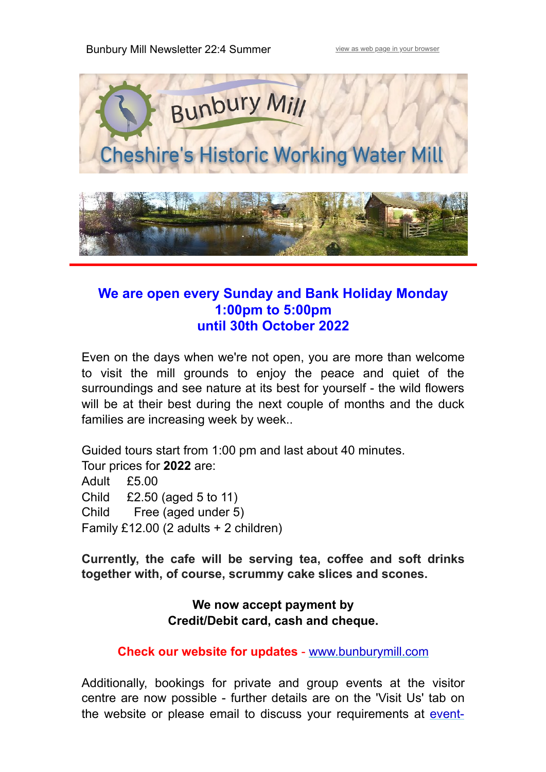

### **We are open every Sunday and Bank Holiday Monday 1:00pm to 5:00pm until 30th October 2022**

Even on the days when we're not open, you are more than welcome to visit the mill grounds to enjoy the peace and quiet of the surroundings and see nature at its best for yourself - the wild flowers will be at their best during the next couple of months and the duck families are increasing week by week..

Guided tours start from 1:00 pm and last about 40 minutes. Tour prices for **2022** are: Adult £5.00 Child £2.50 (aged 5 to 11) Child Free (aged under 5) Family £12.00 (2 adults + 2 children)

**Currently, the cafe will be serving tea, coffee and soft drinks together with, of course, scrummy cake slices and scones.**

> **We now accept payment by Credit/Debit card, cash and cheque.**

**Check our website for updates** - [www.bunburymill.com](https://bunburymill.us6.list-manage.com/track/click?u=a1583c34fa705e8c1db3f0674&id=2c24b6f47a&e=601bc93ecd)

Additionally, bookings for private and group events at the visitor centre are now possible - further details are on the 'Visit Us' tab on [the website or please email to discuss your requirements at](mailto:event-hire@bunburymill.com?subject=Visitor%20Centre%20Hiring%20for%20Special%20Events) event-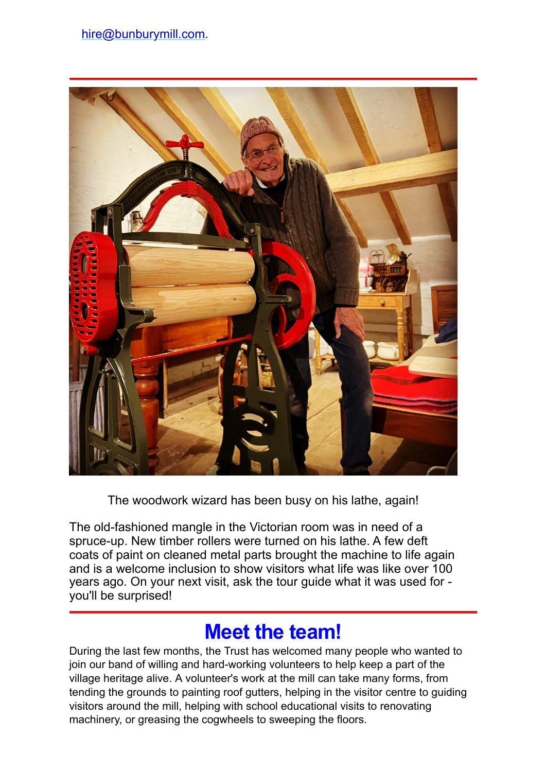

The woodwork wizard has been busy on his lathe, again!

The old-fashioned mangle in the Victorian room was in need of a spruce-up. New timber rollers were turned on his lathe. A few deft coats of paint on cleaned metal parts brought the machine to life again and is a welcome inclusion to show visitors what life was like over 100 years ago. On your next visit, ask the tour guide what it was used for you'll be surprised!

# **Meet the team!**

During the last few months, the Trust has welcomed many people who wanted to join our band of willing and hard-working volunteers to help keep a part of the village heritage alive. A volunteer's work at the mill can take many forms, from tending the grounds to painting roof gutters, helping in the visitor centre to guiding visitors around the mill, helping with school educational visits to renovating machinery, or greasing the cogwheels to sweeping the floors.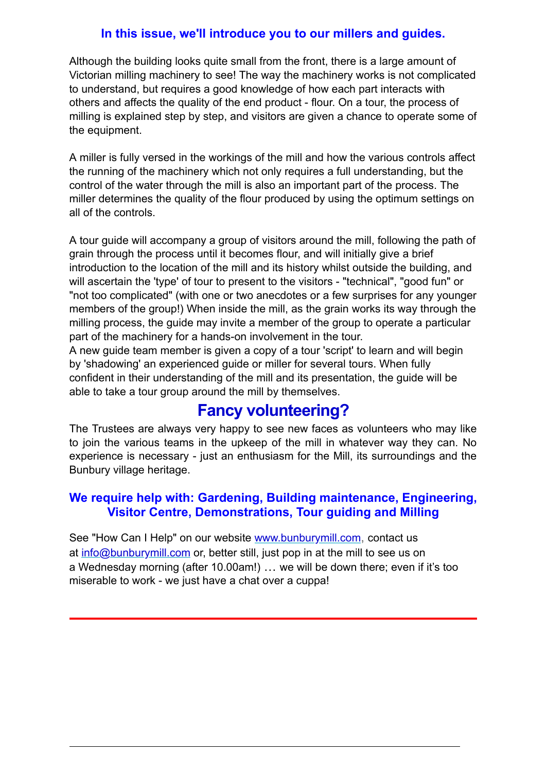#### **In this issue, we'll introduce you to our millers and guides.**

Although the building looks quite small from the front, there is a large amount of Victorian milling machinery to see! The way the machinery works is not complicated to understand, but requires a good knowledge of how each part interacts with others and affects the quality of the end product - flour. On a tour, the process of milling is explained step by step, and visitors are given a chance to operate some of the equipment.

A miller is fully versed in the workings of the mill and how the various controls affect the running of the machinery which not only requires a full understanding, but the control of the water through the mill is also an important part of the process. The miller determines the quality of the flour produced by using the optimum settings on all of the controls.

A tour guide will accompany a group of visitors around the mill, following the path of grain through the process until it becomes flour, and will initially give a brief introduction to the location of the mill and its history whilst outside the building, and will ascertain the 'type' of tour to present to the visitors - "technical", "good fun" or "not too complicated" (with one or two anecdotes or a few surprises for any younger members of the group!) When inside the mill, as the grain works its way through the milling process, the guide may invite a member of the group to operate a particular part of the machinery for a hands-on involvement in the tour.

A new guide team member is given a copy of a tour 'script' to learn and will begin by 'shadowing' an experienced guide or miller for several tours. When fully confident in their understanding of the mill and its presentation, the guide will be able to take a tour group around the mill by themselves.

### **Fancy volunteering?**

The Trustees are always very happy to see new faces as volunteers who may like to join the various teams in the upkeep of the mill in whatever way they can. No experience is necessary - just an enthusiasm for the Mill, its surroundings and the Bunbury village heritage.

#### **We require help with: Gardening, Building maintenance, Engineering, Visitor Centre, Demonstrations, Tour guiding and Milling**

See "How Can I Help" on our website [www.bunburymill.com](https://bunburymill.us6.list-manage.com/track/click?u=a1583c34fa705e8c1db3f0674&id=40aa1a1b03&e=601bc93ecd), contact us at [info@bunburymill.com](mailto:info@bunburymill.com) or, better still, just pop in at the mill to see us on a Wednesday morning (after 10.00am!) … we will be down there; even if it's too miserable to work - we just have a chat over a cuppa!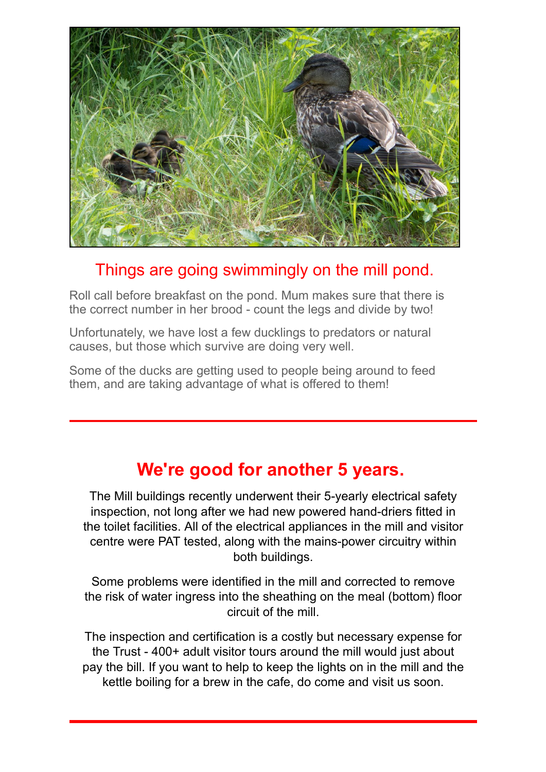

### Things are going swimmingly on the mill pond.

Roll call before breakfast on the pond. Mum makes sure that there is the correct number in her brood - count the legs and divide by two!

Unfortunately, we have lost a few ducklings to predators or natural causes, but those which survive are doing very well.

Some of the ducks are getting used to people being around to feed them, and are taking advantage of what is offered to them!

## **We're good for another 5 years.**

The Mill buildings recently underwent their 5-yearly electrical safety inspection, not long after we had new powered hand-driers fitted in the toilet facilities. All of the electrical appliances in the mill and visitor centre were PAT tested, along with the mains-power circuitry within both buildings.

Some problems were identified in the mill and corrected to remove the risk of water ingress into the sheathing on the meal (bottom) floor circuit of the mill.

The inspection and certification is a costly but necessary expense for the Trust - 400+ adult visitor tours around the mill would just about pay the bill. If you want to help to keep the lights on in the mill and the kettle boiling for a brew in the cafe, do come and visit us soon.